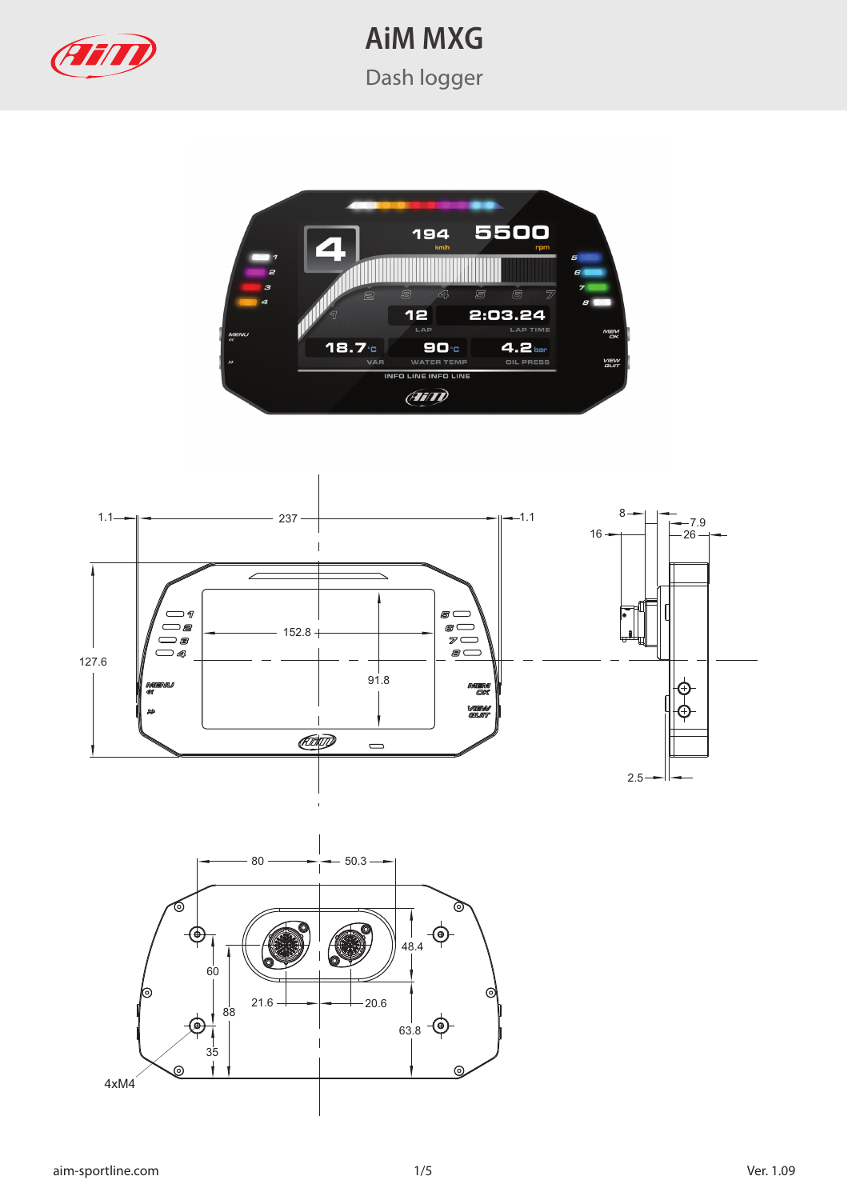



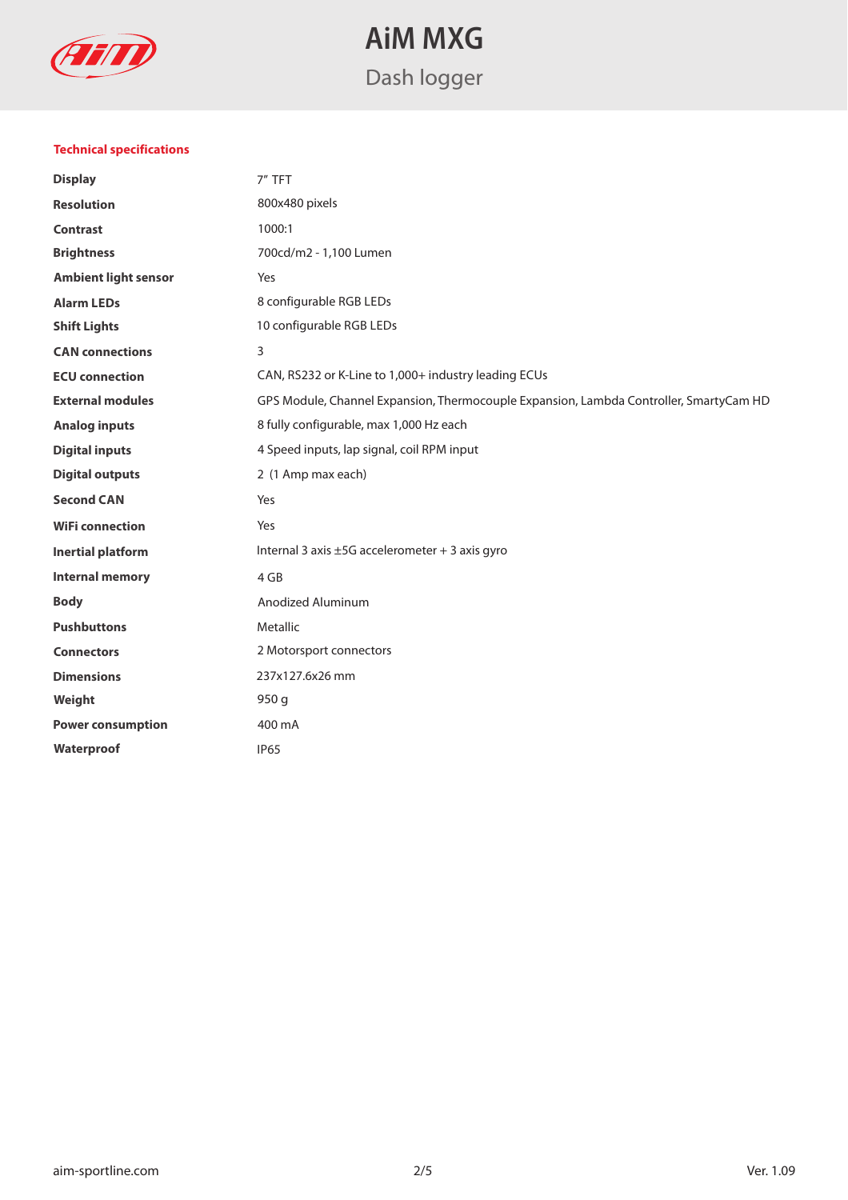

### **Technical specifications**

| <b>Display</b>              | 7" TFT                                                                                 |  |
|-----------------------------|----------------------------------------------------------------------------------------|--|
| <b>Resolution</b>           | 800x480 pixels                                                                         |  |
| <b>Contrast</b>             | 1000:1                                                                                 |  |
| <b>Brightness</b>           | 700cd/m2 - 1,100 Lumen                                                                 |  |
| <b>Ambient light sensor</b> | Yes                                                                                    |  |
| <b>Alarm LEDs</b>           | 8 configurable RGB LEDs                                                                |  |
| <b>Shift Lights</b>         | 10 configurable RGB LEDs                                                               |  |
| <b>CAN</b> connections      | 3                                                                                      |  |
| <b>ECU</b> connection       | CAN, RS232 or K-Line to 1,000+ industry leading ECUs                                   |  |
| <b>External modules</b>     | GPS Module, Channel Expansion, Thermocouple Expansion, Lambda Controller, SmartyCam HD |  |
| <b>Analog inputs</b>        | 8 fully configurable, max 1,000 Hz each                                                |  |
| <b>Digital inputs</b>       | 4 Speed inputs, lap signal, coil RPM input                                             |  |
| <b>Digital outputs</b>      | 2 (1 Amp max each)                                                                     |  |
| <b>Second CAN</b>           | Yes                                                                                    |  |
| <b>WiFi connection</b>      | Yes                                                                                    |  |
| Inertial platform           | Internal 3 axis ±5G accelerometer + 3 axis gyro                                        |  |
| <b>Internal memory</b>      | 4 GB                                                                                   |  |
| <b>Body</b>                 | Anodized Aluminum                                                                      |  |
| <b>Pushbuttons</b>          | Metallic                                                                               |  |
| <b>Connectors</b>           | 2 Motorsport connectors                                                                |  |
| <b>Dimensions</b>           | 237x127.6x26 mm                                                                        |  |
| Weight                      | 950 g                                                                                  |  |
| <b>Power consumption</b>    | 400 mA                                                                                 |  |
| Waterproof                  | <b>IP65</b>                                                                            |  |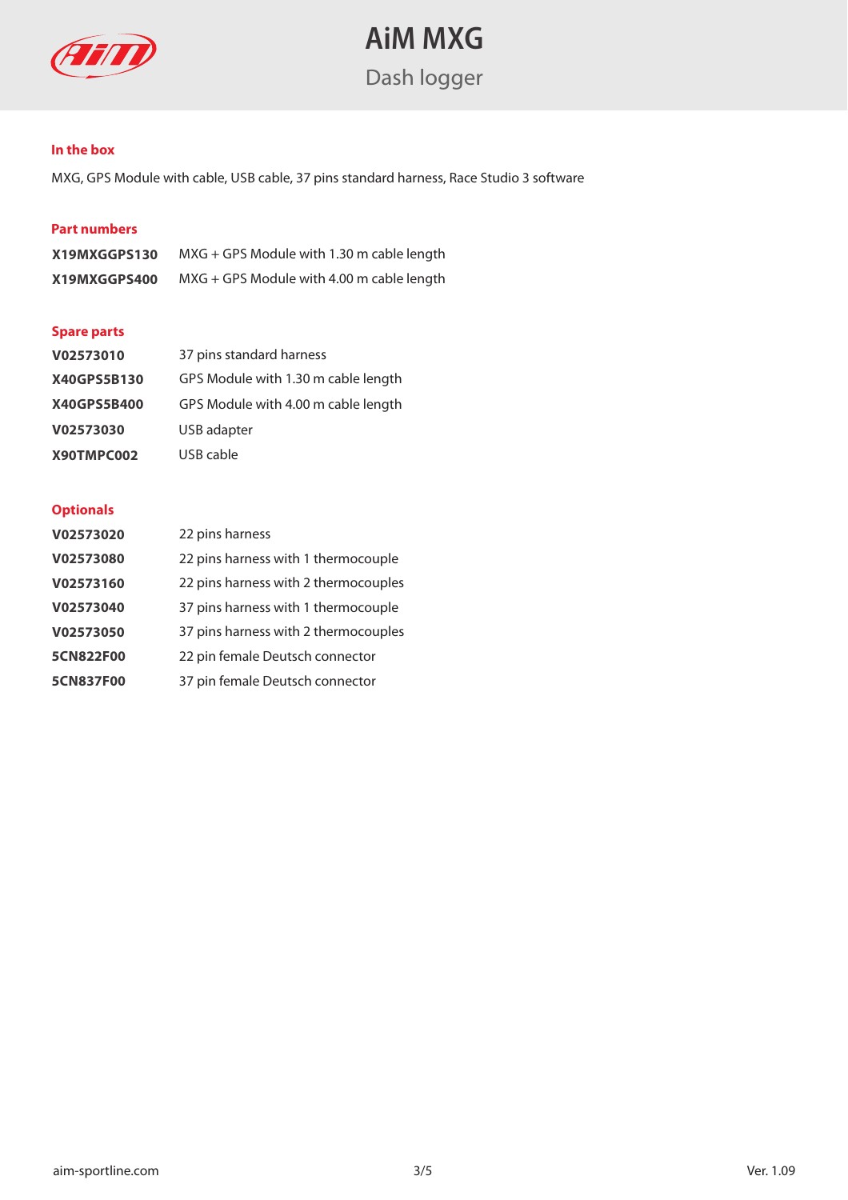

### **In the box**

MXG, GPS Module with cable, USB cable, 37 pins standard harness, Race Studio 3 software

### **Part numbers**

| X19MXGGPS130 | $MXG + GPS$ Module with 1.30 m cable length |
|--------------|---------------------------------------------|
| X19MXGGPS400 | $MXG + GPS$ Module with 4.00 m cable length |

#### **Spare parts**

| V02573010   | 37 pins standard harness            |
|-------------|-------------------------------------|
| X40GPS5B130 | GPS Module with 1.30 m cable length |
| X40GPS5B400 | GPS Module with 4.00 m cable length |
| V02573030   | USB adapter                         |
| X90TMPC002  | USB cable                           |

#### **Optionals**

| V02573020        | 22 pins harness                      |
|------------------|--------------------------------------|
| V02573080        | 22 pins harness with 1 thermocouple  |
| V02573160        | 22 pins harness with 2 thermocouples |
| V02573040        | 37 pins harness with 1 thermocouple  |
| V02573050        | 37 pins harness with 2 thermocouples |
| 5CN822F00        | 22 pin female Deutsch connector      |
| <b>5CN837F00</b> | 37 pin female Deutsch connector      |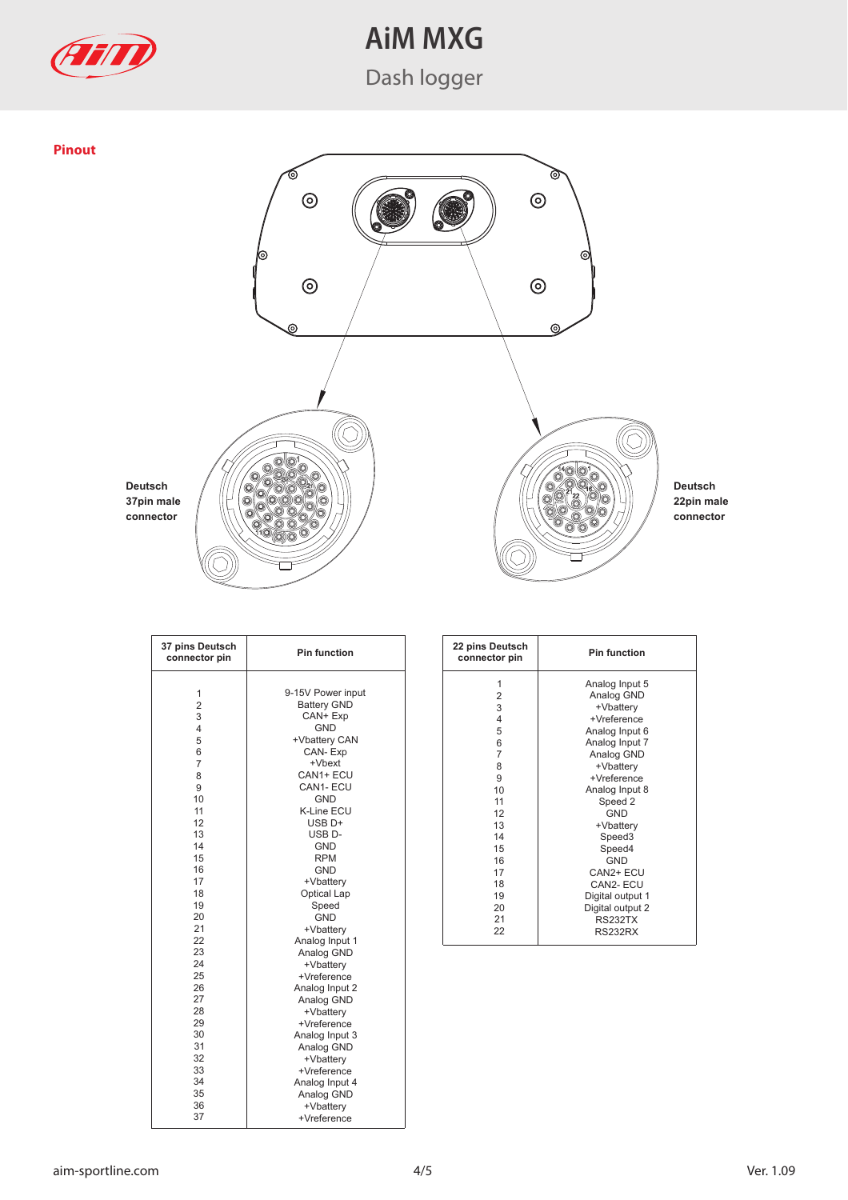

# **AiM MXG**

Dash logger



| 37 pins Deutsch<br>connector pin | <b>Pin function</b> | 22 pins Deutsch<br>connector pin | <b>Pin function</b> |
|----------------------------------|---------------------|----------------------------------|---------------------|
|                                  |                     | 1                                | Analog Input        |
| $\mathbf{1}$                     | 9-15V Power input   | $\overline{2}$                   | Analog GND          |
| $\overline{2}$                   | <b>Battery GND</b>  | 3                                | +Vbattery           |
| 3                                | CAN+ Exp            | 4                                | +Vreference         |
| $\overline{4}$                   | <b>GND</b>          | 5                                | Analog Input        |
| 5                                | +Vbattery CAN       | 6                                | Analog Input        |
| 6                                | CAN-Exp             | $\overline{7}$                   | Analog GND          |
| $\overline{7}$                   | +Vbext              | 8                                | +Vbattery           |
| 8                                | CAN1+ ECU           | 9                                | +Vreference         |
| 9                                | CAN1-ECU            | 10                               | Analog Input        |
| 10                               | <b>GND</b>          | 11                               | Speed 2             |
| 11                               | <b>K-Line ECU</b>   | 12                               | <b>GND</b>          |
| 12                               | USB <sub>D+</sub>   | 13                               | +Vbattery           |
| 13                               | USB <sub>D</sub> -  | 14                               | Speed <sub>3</sub>  |
| 14                               | <b>GND</b>          | 15                               | Speed4              |
| 15                               | <b>RPM</b>          | 16                               | <b>GND</b>          |
| 16                               | <b>GND</b>          | 17                               | CAN2+ ECU           |
| 17                               | +Vbattery           | 18                               | CAN2- ECU           |
| 18                               | Optical Lap         | 19                               | Digital output      |
| 19                               | Speed               | 20                               | Digital output:     |
| 20                               | <b>GND</b>          | 21                               | <b>RS232TX</b>      |
| 21                               | +Vbattery           | 22                               | RS232RX             |
| 22                               | Analog Input 1      |                                  |                     |
| 23                               | Analog GND          |                                  |                     |
| 24                               | +Vbatterv           |                                  |                     |
| 25                               | +Vreference         |                                  |                     |
| 26                               | Analog Input 2      |                                  |                     |
| 27                               | Analog GND          |                                  |                     |
| 28                               | +Vbattery           |                                  |                     |
| 29                               | +Vreference         |                                  |                     |
| 30                               | Analog Input 3      |                                  |                     |
| 31                               | Analog GND          |                                  |                     |
| 32                               | +Vbattery           |                                  |                     |
| 33                               | +Vreference         |                                  |                     |
| 34                               | Analog Input 4      |                                  |                     |
| 35                               | Analog GND          |                                  |                     |
| 36                               | +Vbatterv           |                                  |                     |
| 37                               | +Vreference         |                                  |                     |

| 22 pins Deutsch<br>connector pin | <b>Pin function</b> |
|----------------------------------|---------------------|
| 1                                | Analog Input 5      |
| 2                                | Analog GND          |
| 3                                | +Vbattery           |
| $\overline{4}$                   | +Vreference         |
| 5                                | Analog Input 6      |
| 6                                | Analog Input 7      |
| 7                                | Analog GND          |
| 8                                | +Vbattery           |
| 9                                | +Vreference         |
| 10                               | Analog Input 8      |
| 11                               | Speed 2             |
| 12                               | <b>GND</b>          |
| 13                               | +Vbattery           |
| 14                               | Speed <sub>3</sub>  |
| 15                               | Speed4              |
| 16                               | GND                 |
| 17                               | CAN2+ ECU           |
| 18                               | CAN2-ECU            |
| 19                               | Digital output 1    |
| 20                               | Digital output 2    |
| 21                               | <b>RS232TX</b>      |
| 22                               | <b>RS232RX</b>      |